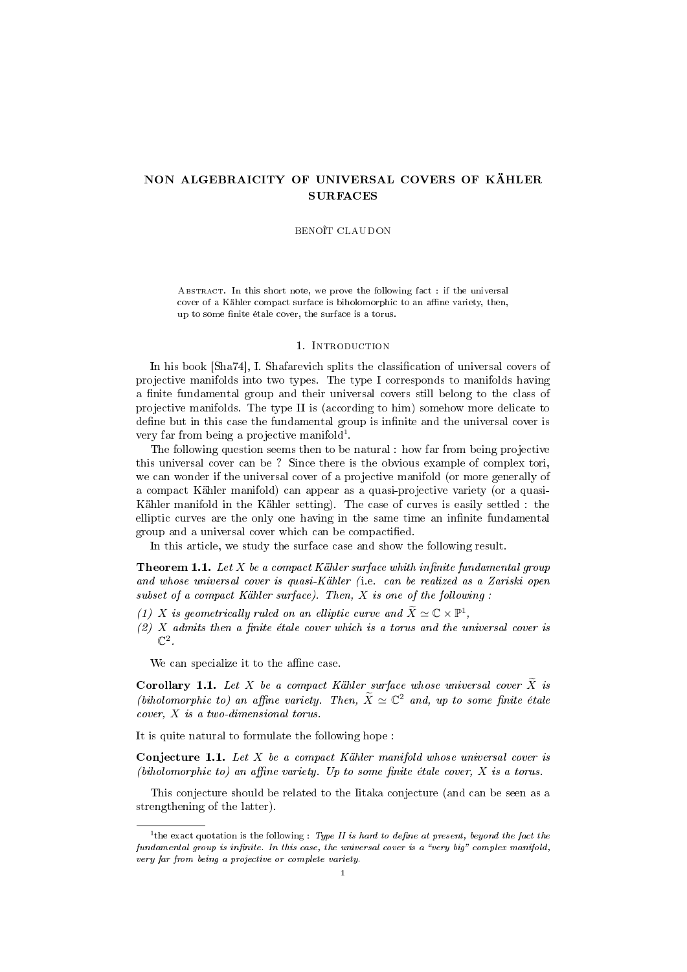# NON ALGEBRAICITY OF UNIVERSAL COVERS OF KÄHLER SURFACES

#### BENOÎT CLAUDON

ABSTRACT. In this short note, we prove the following fact : if the universal cover of a Kähler compact surface is biholomorphic to an affine variety, then, up to some finite étale cover, the surface is a torus.

#### 1. Introduction

In his book [Sha74], I. Shafarevich splits the classification of universal covers of projective manifolds into two types. The type I corresponds to manifolds having a finite fundamental group and their universal covers still belong to the class of projective manifolds. The type II is (according to him) somehow more delicate to define but in this case the fundamental group is infinite and the universal cover is very far from being a projective manifold<sup>1</sup>.

The following question seems then to be natural : how far from being projective this universal cover can be ? Since there is the obvious example of complex tori, we can wonder if the universal cover of a projective manifold (or more generally of a compact Kähler manifold) can appear as a quasi-projective variety (or a quasi-Kähler manifold in the Kähler setting). The case of curves is easily settled : the elliptic curves are the only one having in the same time an infinite fundamental group and a universal cover which can be compactified.

In this article, we study the surface case and show the following result.

**Theorem 1.1.** Let  $X$  be a compact Kähler surface whith infinite fundamental group and whose universal cover is quasi-Kähler (i.e. can be realized as a Zariski open subset of a compact Kähler surface). Then,  $X$  is one of the following:

- (1) X is geometrically ruled on an elliptic curve and  $\widetilde{X} \simeq \mathbb{C} \times \mathbb{P}^1$ ,
- $(2)$  X admits then a finite étale cover which is a torus and the universal cover is  $\mathbb{C}^2$ .

We can specialize it to the affine case.

**Corollary 1.1.** Let X be a compact Kähler surface whose universal cover  $\tilde{X}$  is (biholomorphic to) an affine variety. Then,  $\widetilde{X} \simeq \mathbb{C}^2$  and, up to some finite étale cover, X is a two-dimensional torus.

It is quite natural to formulate the following hope :

**Conjecture 1.1.** Let  $X$  be a compact Kähler manifold whose universal cover is (biholomorphic to) an affine variety. Up to some finite étale cover,  $X$  is a torus.

This conjecture should be related to the Iitaka conjecture (and can be seen as a strengthening of the latter).

<sup>&</sup>lt;sup>1</sup>the exact quotation is the following : Type II is hard to define at present, beyond the fact the fundamental group is infinite. In this case, the universal cover is a "very big" complex manifold, very far from being a projective or complete variety.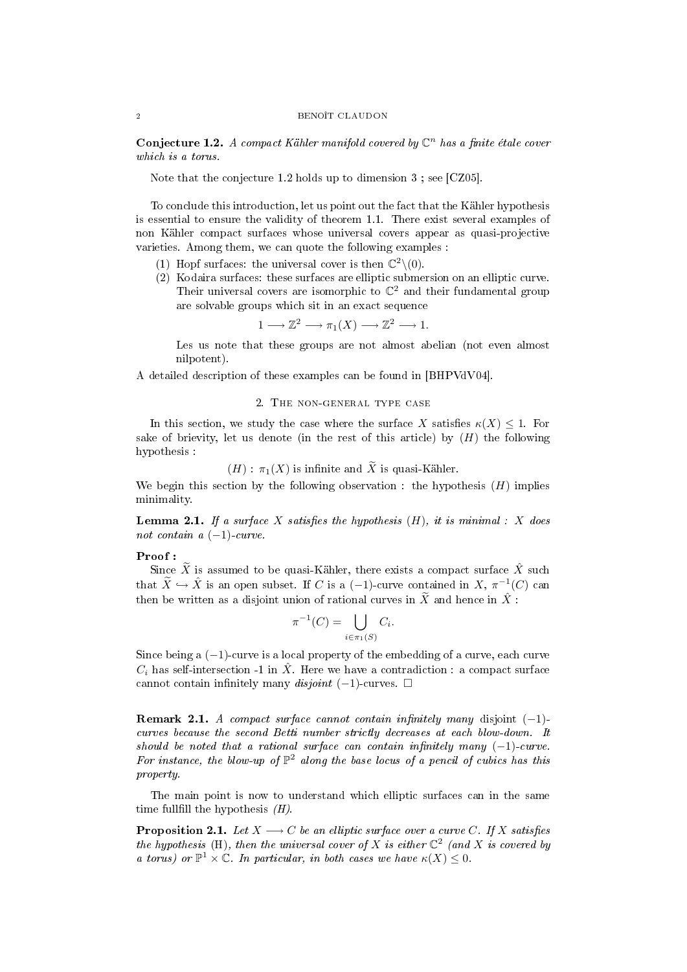#### 2 BENOÎT CLAUDON

Conjecture 1.2. A compact Kähler manifold covered by  $\mathbb{C}^n$  has a finite étale cover which is a torus.

Note that the conjecture 1.2 holds up to dimension 3 ; see [CZ05].

To conclude this introduction, let us point out the fact that the Kähler hypothesis is essential to ensure the validity of theorem 1.1. There exist several examples of non Kähler compact surfaces whose universal covers appear as quasi-projective varieties. Among them, we can quote the following examples :

- (1) Hopf surfaces: the universal cover is then  $\mathbb{C}^2 \setminus (0)$ .
- (2) Kodaira surfaces: these surfaces are elliptic submersion on an elliptic curve. Their universal covers are isomorphic to  $\mathbb{C}^2$  and their fundamental group are solvable groups which sit in an exact sequence

$$
1 \longrightarrow \mathbb{Z}^2 \longrightarrow \pi_1(X) \longrightarrow \mathbb{Z}^2 \longrightarrow 1.
$$

Les us note that these groups are not almost abelian (not even almost nilpotent).

A detailed description of these examples can be found in [BHPVdV04].

## 2. The non-general type case

In this section, we study the case where the surface X satisfies  $\kappa(X) \leq 1$ . For sake of brievity, let us denote (in the rest of this article) by  $(H)$  the following hypothesis :

$$
(H): \pi_1(X)
$$
 is infinite and X is quasi-Kähler.

We begin this section by the following observation : the hypothesis  $(H)$  implies minimality.

**Lemma 2.1.** If a surface X satisfies the hypothesis  $(H)$ , it is minimal : X does not contain a  $(-1)$ -curve.

## Proof :

Since  $\widetilde{X}$  is assumed to be quasi-Kähler, there exists a compact surface  $\hat{X}$  such that  $\widetilde{X} \hookrightarrow \widehat{X}$  is an open subset. If C is a  $(-1)$ -curve contained in  $X, \pi^{-1}(C)$  can then be written as a disjoint union of rational curves in  $\widetilde{X}$  and hence in  $\hat{X}$ :

$$
\pi^{-1}(C) = \bigcup_{i \in \pi_1(S)} C_i.
$$

Since being a (−1)-curve is a local property of the embedding of a curve, each curve  $C_i$  has self-intersection -1 in  $\hat{X}$ . Here we have a contradiction : a compact surface cannot contain infinitely many *disjoint*  $(-1)$ -curves.  $\square$ 

**Remark 2.1.** A compact surface cannot contain infinitely many disjoint  $(-1)$ curves because the second Betti number strictly decreases at each blow-down. It should be noted that a rational surface can contain infinitely many  $(-1)$ -curve. For instance, the blow-up of  $\mathbb{P}^2$  along the base locus of a pencil of cubics has this property.

The main point is now to understand which elliptic surfaces can in the same time fullfill the hypothesis  $(H)$ .

**Proposition 2.1.** Let  $X \longrightarrow C$  be an elliptic surface over a curve C. If X satisfies the hypothesis (H), then the universal cover of X is either  $\mathbb{C}^2$  (and X is covered by a torus) or  $\mathbb{P}^1 \times \mathbb{C}$ . In particular, in both cases we have  $\kappa(X) \leq 0$ .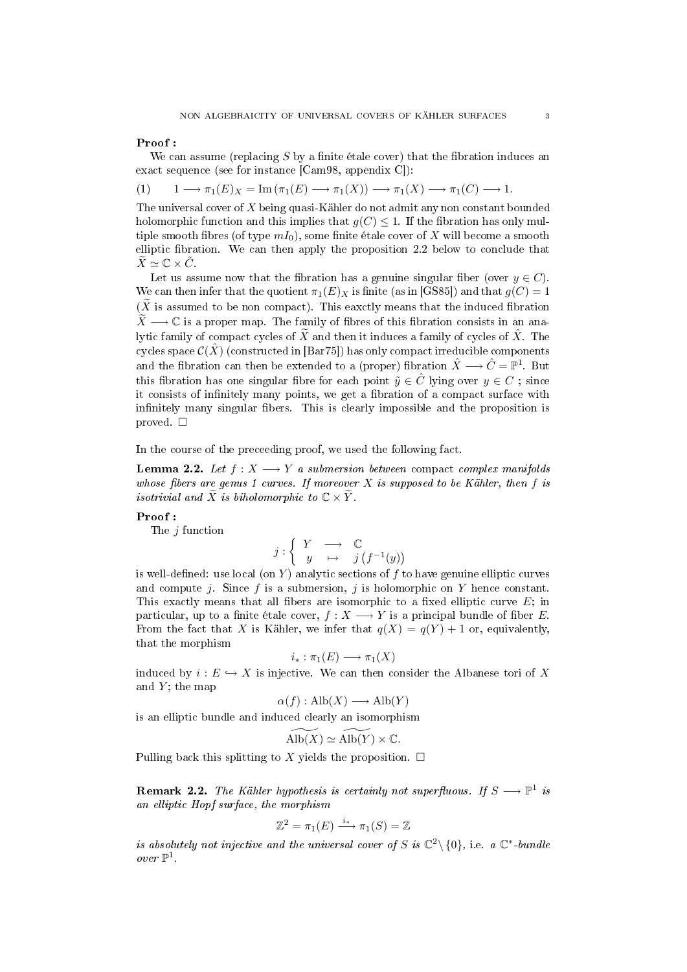## Proof :

We can assume (replacing  $S$  by a finite étale cover) that the fibration induces an exact sequence (see for instance [Cam98, appendix C]):

$$
(1) \qquad 1 \longrightarrow \pi_1(E)_X = \text{Im}(\pi_1(E) \longrightarrow \pi_1(X)) \longrightarrow \pi_1(X) \longrightarrow \pi_1(C) \longrightarrow 1.
$$

The universal cover of  $X$  being quasi-Kähler do not admit any non constant bounded holomorphic function and this implies that  $g(C) \leq 1$ . If the fibration has only multiple smooth fibres (of type  $mI_0$ ), some finite étale cover of X will become a smooth elliptic fibration. We can then apply the proposition  $2.2$  below to conclude that  $\widetilde{X} \simeq \mathbb{C} \times \widetilde{C}$ .

Let us assume now that the fibration has a genuine singular fiber (over  $y \in C$ ). We can then infer that the quotient  $\pi_1(E)_X$  is finite (as in [GS85]) and that  $g(C) = 1$  $(\tilde{X}$  is assumed to be non compact). This eaxctly means that the induced fibration  $\widetilde{X}\longrightarrow\mathbb{C}$  is a proper map. The family of fibres of this fibration consists in an analytic family of compact cycles of  $\widetilde{X}$  and then it induces a family of cycles of  $\widehat{X}$ . The cycles space  $\mathcal{C}(\hat{X})$  (constructed in [Bar75]) has only compact irreducible components and the fibration can then be extended to a (proper) fibration  $\hat{X}\longrightarrow \hat{C}=\mathbb{P}^1.$  But this fibration has one singular fibre for each point  $\tilde{y} \in \hat{C}$  lying over  $y \in C$ ; since it consists of infinitely many points, we get a fibration of a compact surface with infinitely many singular fibers. This is clearly impossible and the proposition is proved.  $\square$ 

In the course of the preceeding proof, we used the following fact.

**Lemma 2.2.** Let  $f: X \longrightarrow Y$  a submersion between compact complex manifolds whose fibers are genus 1 curves. If moreover  $X$  is supposed to be Kähler, then f is isotrivial and  $\widetilde{X}$  is biholomorphic to  $\mathbb{C} \times \widetilde{Y}$ .

#### Proof :

The  $j$  function

$$
j: \left\{ \begin{array}{ccc} Y & \longrightarrow & \mathbb{C} \\ y & \mapsto & j\left(f^{-1}(y)\right) \end{array} \right.
$$

is well-defined: use local (on  $Y$ ) analytic sections of  $f$  to have genuine elliptic curves and compute j. Since f is a submersion, j is holomorphic on Y hence constant. This exactly means that all fibers are isomorphic to a fixed elliptic curve  $E$ ; in particular, up to a finite étale cover,  $f : X \longrightarrow Y$  is a principal bundle of fiber E. From the fact that X is Kähler, we infer that  $q(X) = q(Y) + 1$  or, equivalently, that the morphism

$$
i_*:\pi_1(E)\longrightarrow \pi_1(X)
$$

induced by  $i : E \hookrightarrow X$  is injective. We can then consider the Albanese tori of X and  $Y$ ; the map

$$
\alpha(f) : \text{Alb}(X) \longrightarrow \text{Alb}(Y)
$$

is an elliptic bundle and induced clearly an isomorphism

$$
\widetilde{\mathrm{Alb}(X)} \simeq \widetilde{\mathrm{Alb}(Y)} \times \mathbb{C}.
$$

Pulling back this splitting to X yields the proposition.  $\Box$ 

**Remark 2.2.** The Kähler hypothesis is certainly not superfluous. If  $S \longrightarrow \mathbb{P}^1$  is an elliptic Hopf surface, the morphism

$$
\mathbb{Z}^2 = \pi_1(E) \xrightarrow{i_*} \pi_1(S) = \mathbb{Z}
$$

is absolutely not injective and the universal cover of S is  $\mathbb{C}^2\setminus\{0\}$ , i.e. a  $\mathbb{C}^*$ -bundle over  $\mathbb{P}^1$  .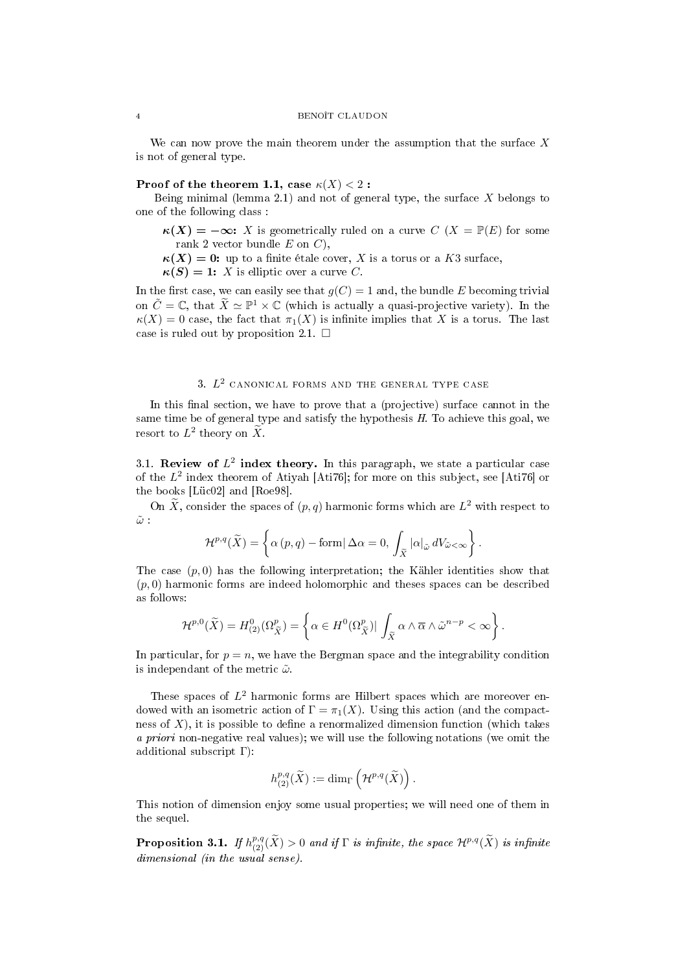We can now prove the main theorem under the assumption that the surface  $X$ is not of general type.

## Proof of the theorem 1.1, case  $\kappa(X) < 2$ :

Being minimal (lemma 2.1) and not of general type, the surface  $X$  belongs to one of the following class :

 $\kappa(X) = -\infty$ : X is geometrically ruled on a curve  $C(X) = \mathbb{P}(E)$  for some rank 2 vector bundle  $E$  on  $C$ ),

 $\kappa(X) = 0$ : up to a finite étale cover, X is a torus or a K3 surface,

 $\kappa(S) = 1: X$  is elliptic over a curve C.

In the first case, we can easily see that  $g(C) = 1$  and, the bundle E becoming trivial on  $\tilde{C} = \mathbb{C}$ , that  $\tilde{X} \simeq \mathbb{P}^1 \times \mathbb{C}$  (which is actually a quasi-projective variety). In the  $\kappa(X) = 0$  case, the fact that  $\pi_1(X)$  is infinite implies that X is a torus. The last case is ruled out by proposition 2.1.  $\Box$ 

## 3.  $L^2$  canonical forms and the general type case

In this final section, we have to prove that a (projective) surface cannot in the same time be of general type and satisfy the hypothesis  $H$ . To achieve this goal, we resort to  $L^2$  theory on  $\widetilde{X}$ .

3.1. Review of  $L^2$  index theory. In this paragraph, we state a particular case of the  $L^2$  index theorem of Atiyah [Ati76]; for more on this subject, see [Ati76] or the books [Lüc02] and [Roe98].

On  $\tilde{X}$ , consider the spaces of  $(p, q)$  harmonic forms which are  $L^2$  with respect to  $\tilde{\omega}$  :

$$
\mathcal{H}^{p,q}(\widetilde{X}) = \left\{ \alpha(p,q) - \text{form} | \Delta \alpha = 0, \int_{\widetilde{X}} |\alpha|_{\widetilde{\omega}} dV_{\widetilde{\omega} < \infty} \right\}.
$$

The case  $(p, 0)$  has the following interpretation; the Kähler identities show that  $(p, 0)$  harmonic forms are indeed holomorphic and theses spaces can be described as follows:

$$
\mathcal{H}^{p,0}(\widetilde{X})=H^0_{(2)}(\Omega^p_{\widetilde{X}})=\left\{\alpha\in H^0(\Omega^p_{\widetilde{X}})|\int_{\widetilde{X}}\alpha\wedge\overline{\alpha}\wedge\widetilde{\omega}^{n-p}<\infty\right\}.
$$

In particular, for  $p = n$ , we have the Bergman space and the integrability condition is independant of the metric  $\tilde{\omega}.$ 

These spaces of  $L^2$  harmonic forms are Hilbert spaces which are moreover endowed with an isometric action of  $\Gamma = \pi_1(X)$ . Using this action (and the compactness of  $X$ ), it is possible to define a renormalized dimension function (which takes a priori non-negative real values); we will use the following notations (we omit the additional subscript Γ):

$$
h_{(2)}^{p,q}(\widetilde{X}) := \dim_{\Gamma}\left(\mathcal{H}^{p,q}(\widetilde{X})\right).
$$

This notion of dimension enjoy some usual properties; we will need one of them in the sequel.

**Proposition 3.1.** If  $h_{(2)}^{p,q}(\widetilde{X})>0$  and if  $\Gamma$  is infinite, the space  $\mathcal{H}^{p,q}(\widetilde{X})$  is infinite dimensional (in the usual sense).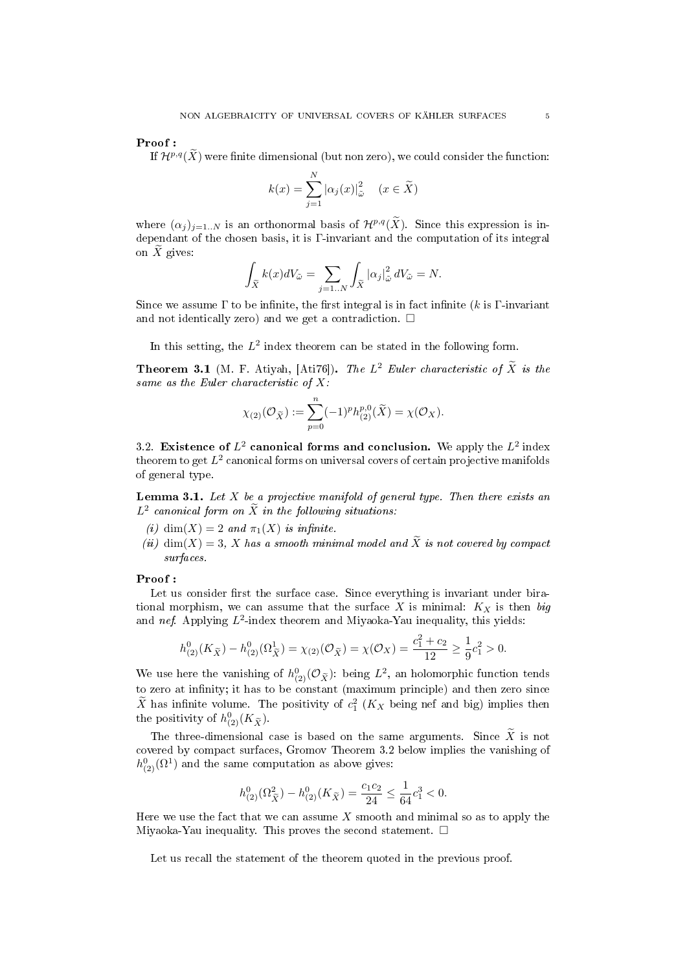#### Proof :

If  $\mathcal{H}^{p,q}(\tilde{X})$  were finite dimensional (but non zero), we could consider the function:

$$
k(x) = \sum_{j=1}^{N} |\alpha_j(x)|_{\tilde{\omega}}^2 \quad (x \in \tilde{X})
$$

where  $(\alpha_j)_{j=1..N}$  is an orthonormal basis of  $\mathcal{H}^{p,q}(\widetilde{X})$ . Since this expression is independant of the chosen basis, it is Γ-invariant and the computation of its integral on  $X$  gives:

$$
\int_{\widetilde{X}} k(x)dV_{\widetilde{\omega}} = \sum_{j=1..N} \int_{\widetilde{X}} |\alpha_j|_{\widetilde{\omega}}^2 dV_{\widetilde{\omega}} = N.
$$

Since we assume  $\Gamma$  to be infinite, the first integral is in fact infinite (k is  $\Gamma$ -invariant and not identically zero) and we get a contradiction.  $\Box$ 

In this setting, the  $L^2$  index theorem can be stated in the following form.

**Theorem 3.1** (M. F. Atiyah, [Ati76]). The  $L^2$  Euler characteristic of  $\tilde{X}$  is the same as the Euler characteristic of  $X$ :

$$
\chi_{(2)}(\mathcal{O}_{\widetilde{X}}) := \sum_{p=0}^{n} (-1)^p h_{(2)}^{p,0}(\widetilde{X}) = \chi(\mathcal{O}_X).
$$

3.2. Existence of  $L^2$  canonical forms and conclusion. We apply the  $L^2$  index theorem to get  $L^2$  canonical forms on universal covers of certain projective manifolds of general type.

**Lemma 3.1.** Let  $X$  be a projective manifold of general type. Then there exists an  $L^2$  canonical form on  $\widetilde{X}$  in the following situations:

- (i) dim $(X) = 2$  and  $\pi_1(X)$  is infinite.
- (ii) dim(X) = 3, X has a smooth minimal model and  $\widetilde{X}$  is not covered by compact surfaces.

#### Proof :

Let us consider first the surface case. Since everything is invariant under birational morphism, we can assume that the surface X is minimal:  $K_X$  is then big and nef. Applying  $L^2$ -index theorem and Miyaoka-Yau inequality, this yields:

$$
h_{(2)}^{0}(K_{\tilde{X}}) - h_{(2)}^{0}(\Omega_{\tilde{X}}^{1}) = \chi_{(2)}(\mathcal{O}_{\tilde{X}}) = \chi(\mathcal{O}_{X}) = \frac{c_{1}^{2} + c_{2}}{12} \ge \frac{1}{9}c_{1}^{2} > 0.
$$

We use here the vanishing of  $h_{(2)}^0(\mathcal{O}_{\tilde{X}})$ : being  $L^2$ , an holomorphic function tends to zero at infinity; it has to be constant (maximum principle) and then zero since  $\widetilde{X}$  has infinite volume. The positivity of  $c_1^2$  ( $K_X$  being nef and big) implies then the positivity of  $h_{(2)}^0(K_{\widetilde{X}})$ .

The three-dimensional case is based on the same arguments. Since  $\widetilde{X}$  is not covered by compact surfaces, Gromov Theorem 3.2 below implies the vanishing of  $h^0_{(2)}(\Omega^1)$  and the same computation as above gives:

$$
h^0_{(2)}(\Omega^2_{\tilde{X}}) - h^0_{(2)}(K_{\tilde{X}}) = \frac{c_1c_2}{24} \le \frac{1}{64}c_1^3 < 0.
$$

Here we use the fact that we can assume  $X$  smooth and minimal so as to apply the Miyaoka-Yau inequality. This proves the second statement.  $\square$ 

Let us recall the statement of the theorem quoted in the previous proof.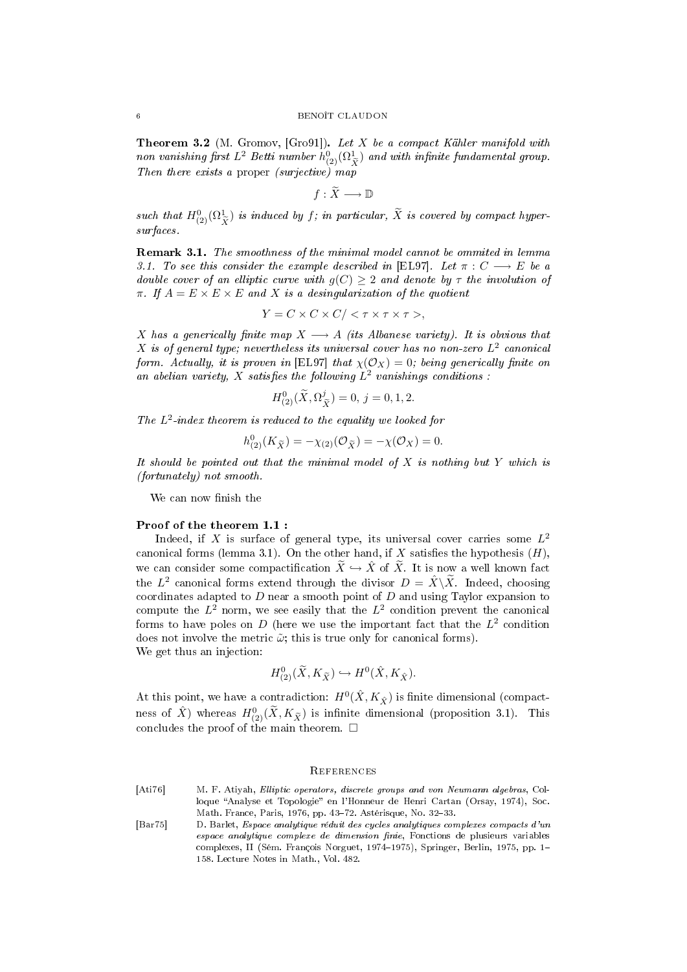Theorem 3.2 (M. Gromov, [Gro91]). Let X be a compact Kähler manifold with non vanishing first  $L^2$  Betti number  $h^0_{(2)}(\Omega^1_{\widetilde X})$  and with infinite fundamental group. Then there exists a proper (surjective) map

$$
f:\widetilde{X}\longrightarrow \mathbb{D}
$$

such that  $H^0_{(2)}(\Omega^1_{\widetilde{X}})$  is induced by f; in particular,  $\widetilde{X}$  is covered by compact hyper-<br>existence surfaces.

Remark 3.1. The smoothness of the minimal model cannot be ommited in lemma 3.1. To see this consider the example described in [EL97]. Let  $\pi : C \longrightarrow E$  be a double cover of an elliptic curve with  $g(C) \geq 2$  and denote by  $\tau$  the involution of  $\pi$ . If  $A = E \times E \times E$  and X is a desingularization of the quotient

$$
Y = C \times C \times C / \langle \tau \times \tau \times \tau \rangle,
$$

X has a generically finite map  $X \longrightarrow A$  (its Albanese variety). It is obvious that  $X$  is of general type; nevertheless its universal cover has no non-zero  $L^2$  canonical form. Actually, it is proven in [EL97] that  $\chi(\mathcal{O}_X) = 0$ ; being generically finite on an abelian variety, X satisfies the following  $L^2$  vanishings conditions :

$$
H_{(2)}^{0}(\widetilde{X}, \Omega_{\widetilde{X}}^{j}) = 0, j = 0, 1, 2.
$$

The  $L^2$ -index theorem is reduced to the equality we looked for

$$
h_{(2)}^{0}(K_{\widetilde{X}}) = -\chi_{(2)}(\mathcal{O}_{\widetilde{X}}) = -\chi(\mathcal{O}_{X}) = 0.
$$

It should be pointed out that the minimal model of  $X$  is nothing but  $Y$  which is (fortunately) not smooth.

We can now finish the

#### Proof of the theorem 1.1 :

Indeed, if X is surface of general type, its universal cover carries some  $L^2$ canonical forms (lemma 3.1). On the other hand, if X satisfies the hypothesis  $(H)$ , we can consider some compactification  $\widetilde{X} \hookrightarrow \widehat{X}$  of  $\widetilde{X}$ . It is now a well known fact the  $L^2$  canonical forms extend through the divisor  $D = \hat{X} \setminus \widetilde{X}$ . Indeed, choosing coordinates adapted to  $D$  near a smooth point of  $D$  and using Taylor expansion to compute the  $L^2$  norm, we see easily that the  $L^2$  condition prevent the canonical forms to have poles on D (here we use the important fact that the  $L^2$  condition does not involve the metric  $\tilde{\omega}$ ; this is true only for canonical forms). We get thus an injection:

$$
H^0_{(2)}(\widetilde{X}, K_{\widetilde{X}}) \hookrightarrow H^0(\hat{X}, K_{\hat{X}}).
$$

At this point, we have a contradiction:  $H^0(\hat{X}, K_{\hat{X}})$  is finite dimensional (compactness of  $\hat{X}$ ) whereas  $H^0_{(2)}(\tilde{X}, K_{\tilde{X}})$  is infinite dimensional (proposition 3.1). This concludes the proof of the main theorem.  $\Box$ 

#### **REFERENCES**

- [Ati76] M. F. Atiyah, Elliptic operators, discrete groups and von Neumann algebras, Colloque "Analyse et Topologie" en l'Honneur de Henri Cartan (Orsay, 1974), Soc. Math. France, Paris, 1976, pp. 43-72. Astérisque, No. 32-33.
- [Bar75] D. Barlet, Espace analytique réduit des cycles analytiques complexes compacts d'un espace analytique complexe de dimension finie, Fonctions de plusieurs variables complexes, II (Sém. François Norguet, 1974–1975), Springer, Berlin, 1975, pp. 1– 158. Lecture Notes in Math., Vol. 482.